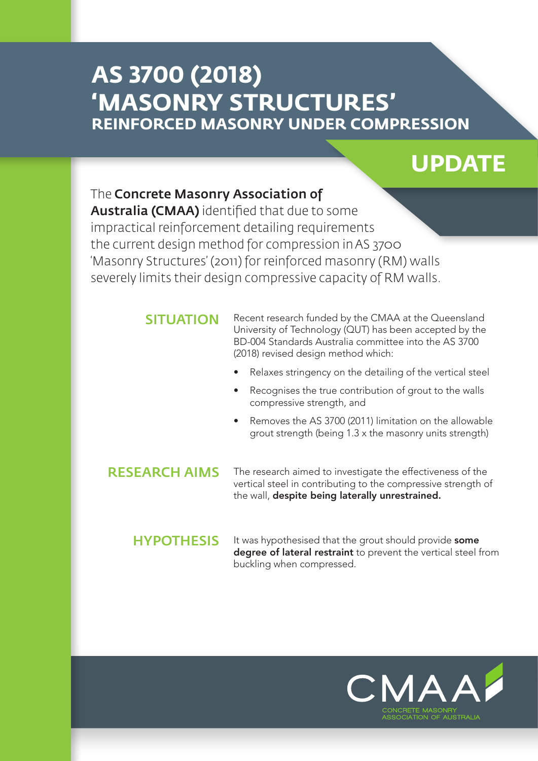# **AS 3700 (2018) 'MASONRY STRUCTURES' REINFORCED MASONRY UNDER COMPRESSION**

# **UPDATE**

# The Concrete Masonry Association of

Australia (CMAA) identified that due to some impractical reinforcement detailing requirements the current design method for compression in AS 3700 'Masonry Structures' (2011) for reinforced masonry (RM) walls severely limits their design compressive capacity of RM walls.

#### SITUATION

Recent research funded by the CMAA at the Queensland University of Technology (QUT) has been accepted by the BD-004 Standards Australia committee into the AS 3700 (2018) revised design method which:

- Relaxes stringency on the detailing of the vertical steel
- Recognises the true contribution of grout to the walls compressive strength, and
- Removes the AS 3700 (2011) limitation on the allowable grout strength (being 1.3 x the masonry units strength)

### RESEARCH AIMS

The research aimed to investigate the effectiveness of the vertical steel in contributing to the compressive strength of the wall, despite being laterally unrestrained.

HYPOTHESIS It was hypothesised that the grout should provide some degree of lateral restraint to prevent the vertical steel from buckling when compressed.

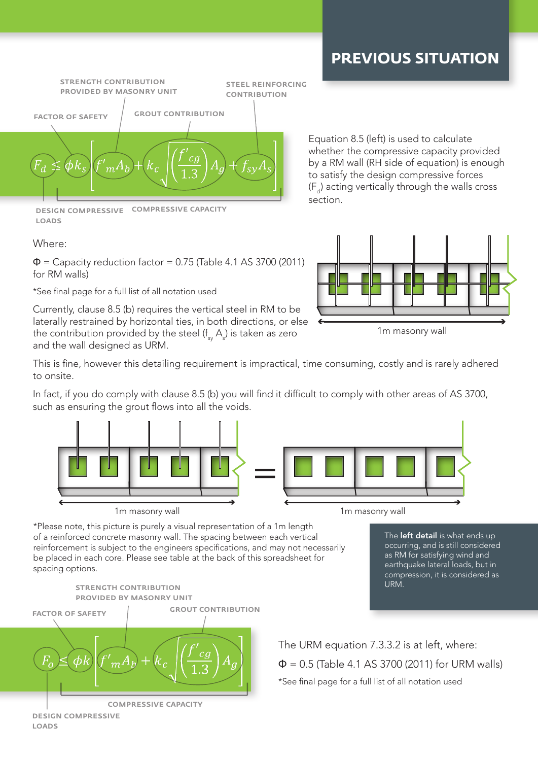# **PREVIOUS SITUATION**



design compressive compressive capacity loads

#### Where:

 $\Phi$  = Capacity reduction factor = 0.75 (Table 4.1 AS 3700 (2011) for RM walls)

\*See final page for a full list of all notation used

Currently, clause 8.5 (b) requires the vertical steel in RM to be laterally restrained by horizontal ties, in both directions, or else the contribution provided by the steel (f $_{\textrm{\tiny{sy}}}$  A $_{\textrm{\tiny{s}}}$ ) is taken as zero and the wall designed as URM.

Equation 8.5 (left) is used to calculate whether the compressive capacity provided by a RM wall (RH side of equation) is enough to satisfy the design compressive forces  $(F_a)$  acting vertically through the walls cross section.



This is fine, however this detailing requirement is impractical, time consuming, costly and is rarely adhered to onsite.

In fact, if you do comply with clause 8.5 (b) you will find it difficult to comply with other areas of AS 3700, such as ensuring the grout flows into all the voids.



\*Please note, this picture is purely a visual representation of a 1m length of a reinforced concrete masonry wall. The spacing between each vertical reinforcement is subject to the engineers specifications, and may not necessarily be placed in each core. Please see table at the back of this spreadsheet for spacing options.



The **left detail** is what ends up occurring, and is still considered as RM for satisfying wind and earthquake lateral loads, but in compression, it is considered as URM.

The URM equation 7.3.3.2 is at left, where:  $\Phi$  = 0.5 (Table 4.1 AS 3700 (2011) for URM walls) \*See final page for a full list of all notation used

loads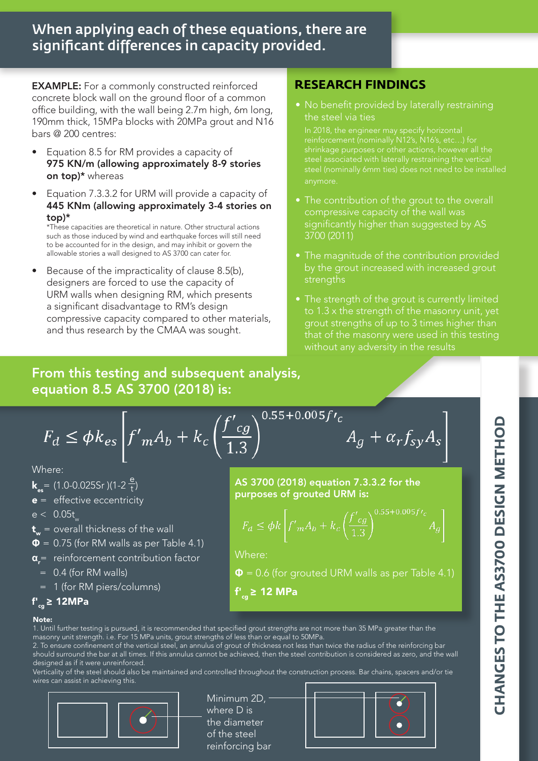# When applying each of these equations, there are significant differences in capacity provided.

EXAMPLE: For a commonly constructed reinforced concrete block wall on the ground floor of a common office building, with the wall being 2.7m high, 6m long, 190mm thick, 15MPa blocks with 20MPa grout and N16 bars @ 200 centres:

- Equation 8.5 for RM provides a capacity of 975 KN/m (allowing approximately 8-9 stories on top)\* whereas
- Equation 7.3.3.2 for URM will provide a capacity of 445 KNm (allowing approximately 3-4 stories on top)\*

\*These capacities are theoretical in nature. Other structural actions such as those induced by wind and earthquake forces will still need to be accounted for in the design, and may inhibit or govern the allowable stories a wall designed to AS 3700 can cater for.

• Because of the impracticality of clause 8.5(b), designers are forced to use the capacity of URM walls when designing RM, which presents a significant disadvantage to RM's design compressive capacity compared to other materials, and thus research by the CMAA was sought.

## **RESEARCH FINDINGS**

• No benefit provided by laterally restraining the steel via ties

shrinkage purposes or other actions, however all the

- The contribution of the grout to the overall compressive capacity of the wall was significantly higher than suggested by AS 3700 (2011)
- The magnitude of the contribution provided by the grout increased with increased grout strengths
- The strength of the grout is currently limited to 1.3 x the strength of the masonry unit, yet grout strengths of up to 3 times higher than that of the masonry were used in this testing without any adversity in the results

 $A_g + \alpha_r f_{sy} A_s$ 

# From this testing and subsequent analysis, equation 8.5 AS 3700 (2018) is:

$$
F_d \le \phi k_{es} \left| f'_m A_b + k_c \left( \frac{f'_c}{1.3} \right) \right|
$$

Where:

- **k**<sub>ss</sub> = (1.0-0.025Sr)(1-2 $\frac{e}{t}$ )
- $e =$  effective eccentricity
- $e < 0.05t$
- $t_w$  = overall thickness of the wall
- $\Phi$  = 0.75 (for RM walls as per Table 4.1)
- **α**<sub>r</sub>= reinforcement contribution factor
	- = 0.4 (for RM walls)
- = 1 (for RM piers/columns)

AS 3700 (2018) equation 7.3.3.2 for the purposes of grouted URM is:

 $0.55+0.005f$ 

$$
F_d \le \phi k \left[ f'_m A_b + k_c \left( \frac{f'_c g}{1.3} \right)^{0.55 + 0.005 f'c} A_g \right]
$$

Where:

- **Φ** = 0.6 (for grouted URM walls as per Table 4.1)
- f'<sub>cg</sub> ≥ 12 MPa

#### f'<sub>.g</sub> ≥ 12MPa

#### Note:

1. Until further testing is pursued, it is recommended that specified grout strengths are not more than 35 MPa greater than the masonry unit strength. i.e. For 15 MPa units, grout strengths of less than or equal to 50MPa.

2. To ensure confinement of the vertical steel, an annulus of grout of thickness not less than twice the radius of the reinforcing bar should surround the bar at all times. If this annulus cannot be achieved, then the steel contribution is considered as zero, and the wall designed as if it were unreinforced.

Verticality of the steel should also be maintained and controlled throughout the construction process. Bar chains, spacers and/or tie wires can assist in achieving this.



Minimum 2D, where D is the diameter of the steel reinforcing bar



**CHANGES TO THE AS3700 DESIGN METHOD CHANGES TO THE AS3700 DESIGN METHOD**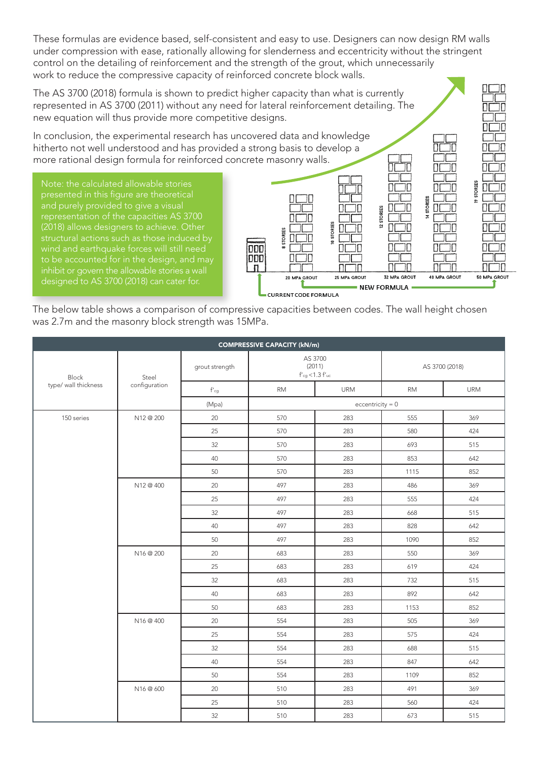These formulas are evidence based, self-consistent and easy to use. Designers can now design RM walls under compression with ease, rationally allowing for slenderness and eccentricity without the stringent control on the detailing of reinforcement and the strength of the grout, which unnecessarily work to reduce the compressive capacity of reinforced concrete block walls.

The AS 3700 (2018) formula is shown to predict higher capacity than what is currently represented in AS 3700 (2011) without any need for lateral reinforcement detailing. The new equation will thus provide more competitive designs.

In conclusion, the experimental research has uncovered data and knowledge hitherto not well understood and has provided a strong basis to develop a more rational design formula for reinforced concrete masonry walls.

Note: the calculated allowable stories presented in this figure are theoretical representation of the capacities AS 3700 (2018) allows designers to achieve. Other inhibit or govern the allowable stories a wall designed to AS 3700 (2018) can cater for.



 $\Box \Box \Box$ 

The below table shows a comparison of compressive capacities between codes. The wall height chosen was 2.7m and the masonry block strength was 15MPa.

| <b>COMPRESSIVE CAPACITY (kN/m)</b> |                        |                           |                                                                |            |                |            |  |  |  |  |  |
|------------------------------------|------------------------|---------------------------|----------------------------------------------------------------|------------|----------------|------------|--|--|--|--|--|
| Block<br>type/ wall thickness      | Steel<br>configuration | grout strength            | AS 3700<br>(2011)<br>$\mathsf{f'cg}\mathop{<}1.3\mathsf{f'uc}$ |            | AS 3700 (2018) |            |  |  |  |  |  |
|                                    |                        | $\mathsf{f'}_\mathsf{cg}$ | <b>RM</b>                                                      | <b>URM</b> | <b>RM</b>      | <b>URM</b> |  |  |  |  |  |
|                                    |                        | (Mpa)                     | $eccentricity = 0$                                             |            |                |            |  |  |  |  |  |
| 150 series                         | N12 @ 200              | 20                        | 570                                                            | 283        | 555            | 369        |  |  |  |  |  |
|                                    |                        | 25                        | 570                                                            | 283        | 580            | 424        |  |  |  |  |  |
|                                    |                        | 32                        | 570                                                            | 283        | 693            | 515        |  |  |  |  |  |
|                                    |                        | 40                        | 570                                                            | 283        | 853            | 642        |  |  |  |  |  |
|                                    |                        | 50                        | 570                                                            | 283        | 1115           | 852        |  |  |  |  |  |
|                                    | N12 @ 400              | 20                        | 497                                                            | 283        | 486            | 369        |  |  |  |  |  |
|                                    |                        | 25                        | 497                                                            | 283        | 555            | 424        |  |  |  |  |  |
|                                    |                        | 32                        | 497                                                            | 283        | 668            | 515        |  |  |  |  |  |
|                                    |                        | 40                        | 497                                                            | 283        | 828            | 642        |  |  |  |  |  |
|                                    |                        | 50                        | 497                                                            | 283        | 1090           | 852        |  |  |  |  |  |
|                                    | N16 @ 200              | 20                        | 683                                                            | 283        | 550            | 369        |  |  |  |  |  |
|                                    |                        | 25                        | 683                                                            | 283        | 619            | 424        |  |  |  |  |  |
|                                    |                        | 32                        | 683                                                            | 283        | 732            | 515        |  |  |  |  |  |
|                                    |                        | 40                        | 683                                                            | 283        | 892            | 642        |  |  |  |  |  |
|                                    |                        | 50                        | 683                                                            | 283        | 1153           | 852        |  |  |  |  |  |
|                                    | N16 @ 400              | $20\,$                    | 554                                                            | 283        | 505            | 369        |  |  |  |  |  |
|                                    |                        | 25                        | 554                                                            | 283        | 575            | 424        |  |  |  |  |  |
|                                    |                        | 32                        | 554                                                            | 283        | 688            | 515        |  |  |  |  |  |
|                                    |                        | 40                        | 554                                                            | 283        | 847            | 642        |  |  |  |  |  |
|                                    |                        | 50                        | 554                                                            | 283        | 1109           | 852        |  |  |  |  |  |
|                                    | N16 @ 600              | 20                        | 510                                                            | 283        | 491            | 369        |  |  |  |  |  |
|                                    |                        | 25                        | 510                                                            | 283        | 560            | 424        |  |  |  |  |  |
|                                    |                        | 32                        | 510                                                            | 283        | 673            | 515        |  |  |  |  |  |